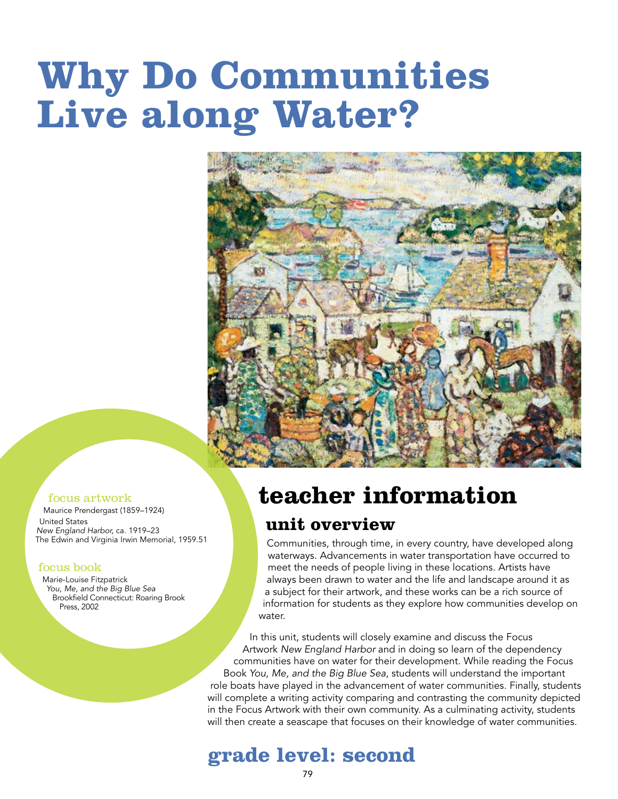# **Why Do Communities Live along Water?**



#### focus artwork

Maurice Prendergast (1859–1924)

United States *New England Harbor,* ca. 1919–23 The Edwin and Virginia Irwin Memorial, 1959.51

#### focus book

Marie-Louise Fitzpatrick *You, Me, and the Big Blue Sea* Brookfield Connecticut: Roaring Brook Press, 2002

## **teacher information**

#### **unit overview**

Communities, through time, in every country, have developed along waterways. Advancements in water transportation have occurred to meet the needs of people living in these locations. Artists have always been drawn to water and the life and landscape around it as a subject for their artwork, and these works can be a rich source of information for students as they explore how communities develop on water.

In this unit, students will closely examine and discuss the Focus Artwork *New England Harbor* and in doing so learn of the dependency communities have on water for their development. While reading the Focus Book *You, Me, and the Big Blue Sea*, students will understand the important role boats have played in the advancement of water communities. Finally, students will complete a writing activity comparing and contrasting the community depicted in the Focus Artwork with their own community. As a culminating activity, students will then create a seascape that focuses on their knowledge of water communities.

#### **grade level: second**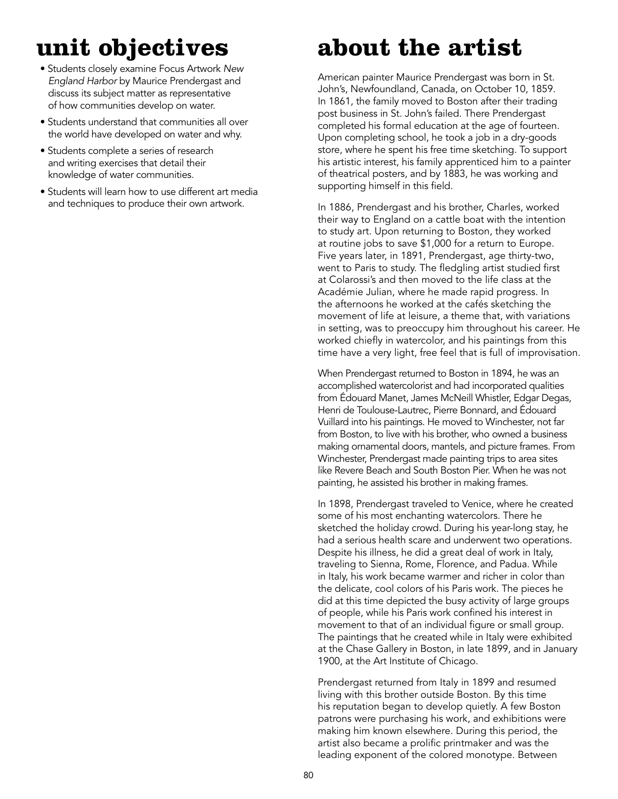### **unit objectives**

- Students closely examine Focus Artwork *New England Harbor* by Maurice Prendergast and discuss its subject matter as representative of how communities develop on water.
- Students understand that communities all over the world have developed on water and why.
- Students complete a series of research and writing exercises that detail their knowledge of water communities.
- Students will learn how to use different art media and techniques to produce their own artwork.

### **about the artist**

American painter Maurice Prendergast was born in St. John's, Newfoundland, Canada, on October 10, 1859. In 1861, the family moved to Boston after their trading post business in St. John's failed. There Prendergast completed his formal education at the age of fourteen. Upon completing school, he took a job in a dry-goods store, where he spent his free time sketching. To support his artistic interest, his family apprenticed him to a painter of theatrical posters, and by 1883, he was working and supporting himself in this field.

In 1886, Prendergast and his brother, Charles, worked their way to England on a cattle boat with the intention to study art. Upon returning to Boston, they worked at routine jobs to save \$1,000 for a return to Europe. Five years later, in 1891, Prendergast, age thirty-two, went to Paris to study. The fledgling artist studied first at Colarossi's and then moved to the life class at the Académie Julian, where he made rapid progress. In the afternoons he worked at the cafés sketching the movement of life at leisure, a theme that, with variations in setting, was to preoccupy him throughout his career. He worked chiefly in watercolor, and his paintings from this time have a very light, free feel that is full of improvisation.

When Prendergast returned to Boston in 1894, he was an accomplished watercolorist and had incorporated qualities from Édouard Manet, James McNeill Whistler, Edgar Degas, Henri de Toulouse-Lautrec, Pierre Bonnard, and Édouard Vuillard into his paintings. He moved to Winchester, not far from Boston, to live with his brother, who owned a business making ornamental doors, mantels, and picture frames. From Winchester, Prendergast made painting trips to area sites like Revere Beach and South Boston Pier. When he was not painting, he assisted his brother in making frames.

In 1898, Prendergast traveled to Venice, where he created some of his most enchanting watercolors. There he sketched the holiday crowd. During his year-long stay, he had a serious health scare and underwent two operations. Despite his illness, he did a great deal of work in Italy, traveling to Sienna, Rome, Florence, and Padua. While in Italy, his work became warmer and richer in color than the delicate, cool colors of his Paris work. The pieces he did at this time depicted the busy activity of large groups of people, while his Paris work confined his interest in movement to that of an individual figure or small group. The paintings that he created while in Italy were exhibited at the Chase Gallery in Boston, in late 1899, and in January 1900, at the Art Institute of Chicago.

Prendergast returned from Italy in 1899 and resumed living with this brother outside Boston. By this time his reputation began to develop quietly. A few Boston patrons were purchasing his work, and exhibitions were making him known elsewhere. During this period, the artist also became a prolific printmaker and was the leading exponent of the colored monotype. Between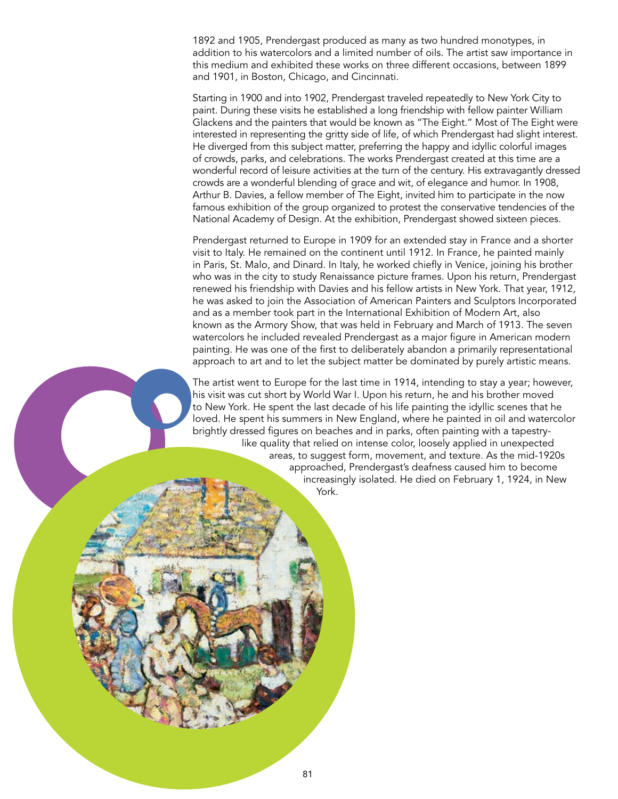1892 and 1905, Prendergast produced as many as two hundred monotypes, in addition to his watercolors and a limited number of oils. The artist saw importance in this medium and exhibited these works on three different occasions, between 1899 and 1901, in Boston, Chicago, and Cincinnati.

Starting in 1900 and into 1902, Prendergast traveled repeatedly to New York City to paint. During these visits he established a long friendship with fellow painter William Glackens and the painters that would be known as "The Eight." Most of The Eight were interested in representing the gritty side of life, of which Prendergast had slight interest. He diverged from this subject matter, preferring the happy and idyllic colorful images of crowds, parks, and celebrations. The works Prendergast created at this time are a wonderful record of leisure activities at the turn of the century. His extravagantly dressed crowds are a wonderful blending of grace and wit, of elegance and humor. In 1908, Arthur B. Davies, a fellow member of The Eight, invited him to participate in the now famous exhibition of the group organized to protest the conservative tendencies of the National Academy of Design. At the exhibition, Prendergast showed sixteen pieces.

Prendergast returned to Europe in 1909 for an extended stay in France and a shorter visit to Italy. He remained on the continent until 1912. In France, he painted mainly in Paris, St. Malo, and Dinard. In Italy, he worked chiefly in Venice, joining his brother who was in the city to study Renaissance picture frames. Upon his return, Prendergast renewed his friendship with Davies and his fellow artists in New York. That year, 1912, he was asked to join the Association of American Painters and Sculptors Incorporated and as a member took part in the International Exhibition of Modern Art, also known as the Armory Show, that was held in February and March of 1913. The seven watercolors he included revealed Prendergast as a major figure in American modern painting. He was one of the first to deliberately abandon a primarily representational approach to art and to let the subject matter be dominated by purely artistic means.

The artist went to Europe for the last time in 1914, intending to stay a year; however, his visit was cut short by World War I. Upon his return, he and his brother moved to New York. He spent the last decade of his life painting the idyllic scenes that he loved. He spent his summers in New England, where he painted in oil and watercolor brightly dressed figures on beaches and in parks, often painting with a tapestrylike quality that relied on intense color, loosely applied in unexpected areas, to suggest form, movement, and texture. As the mid-1920s approached, Prendergast's deafness caused him to become increasingly isolated. He died on February 1, 1924, in New York.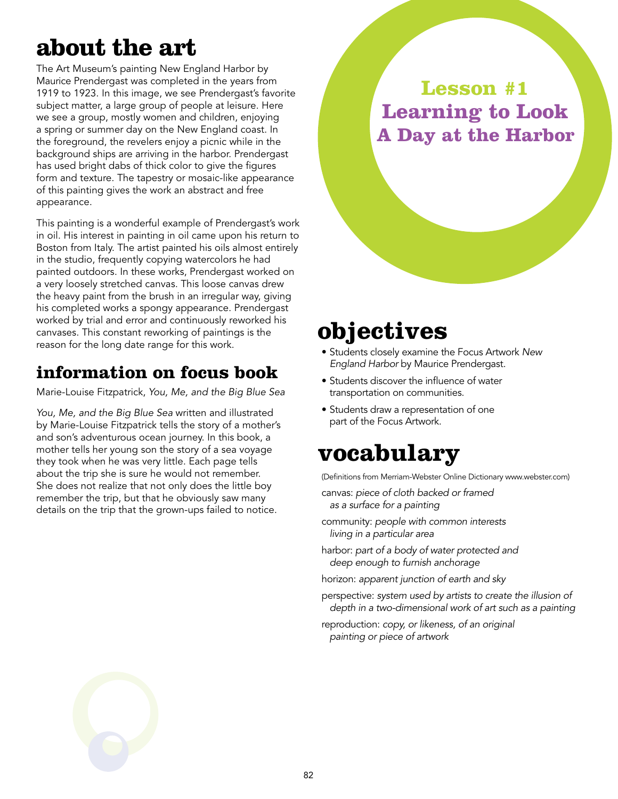### **about the art**

The Art Museum's painting New England Harbor by Maurice Prendergast was completed in the years from 1919 to 1923. In this image, we see Prendergast's favorite subject matter, a large group of people at leisure. Here we see a group, mostly women and children, enjoying a spring or summer day on the New England coast. In the foreground, the revelers enjoy a picnic while in the background ships are arriving in the harbor. Prendergast has used bright dabs of thick color to give the figures form and texture. The tapestry or mosaic-like appearance of this painting gives the work an abstract and free appearance.

This painting is a wonderful example of Prendergast's work in oil. His interest in painting in oil came upon his return to Boston from Italy. The artist painted his oils almost entirely in the studio, frequently copying watercolors he had painted outdoors. In these works, Prendergast worked on a very loosely stretched canvas. This loose canvas drew the heavy paint from the brush in an irregular way, giving his completed works a spongy appearance. Prendergast worked by trial and error and continuously reworked his canvases. This constant reworking of paintings is the reason for the long date range for this work.

#### **information on focus book**

Marie-Louise Fitzpatrick, *You, Me, and the Big Blue Sea*

*You, Me, and the Big Blue Sea* written and illustrated by Marie-Louise Fitzpatrick tells the story of a mother's and son's adventurous ocean journey. In this book, a mother tells her young son the story of a sea voyage they took when he was very little. Each page tells about the trip she is sure he would not remember. She does not realize that not only does the little boy remember the trip, but that he obviously saw many details on the trip that the grown-ups failed to notice.

**Lesson #1 Learning to Look A Day at the Harbor**

### **objectives**

- Students closely examine the Focus Artwork *New England Harbor* by Maurice Prendergast.
- Students discover the influence of water transportation on communities.
- Students draw a representation of one part of the Focus Artwork.

### **vocabulary**

(Definitions from Merriam-Webster Online Dictionary www.webster.com)

- canvas: *piece of cloth backed or framed as a surface for a painting*
- community: *people with common interests living in a particular area*
- harbor: *part of a body of water protected and deep enough to furnish anchorage*
- horizon: *apparent junction of earth and sky*
- perspective: *system used by artists to create the illusion of depth in a two-dimensional work of art such as a painting*
- reproduction: *copy, or likeness, of an original painting or piece of artwork*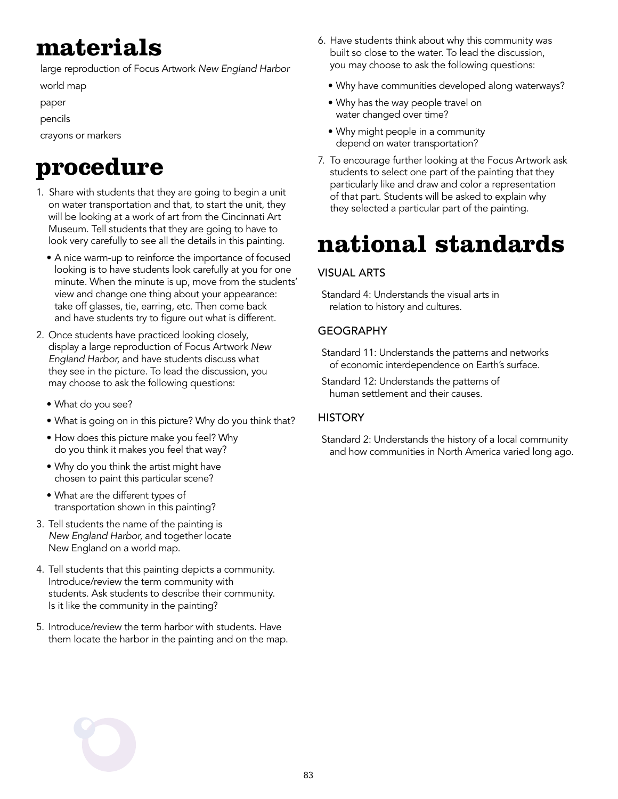### **materials**

large reproduction of Focus Artwork *New England Harbor*

world map

paper

pencils

crayons or markers

### **procedure**

- 1. Share with students that they are going to begin a unit on water transportation and that, to start the unit, they will be looking at a work of art from the Cincinnati Art Museum. Tell students that they are going to have to look very carefully to see all the details in this painting.
	- A nice warm-up to reinforce the importance of focused looking is to have students look carefully at you for one minute. When the minute is up, move from the students' view and change one thing about your appearance: take off glasses, tie, earring, etc. Then come back and have students try to figure out what is different.
- 2. Once students have practiced looking closely, display a large reproduction of Focus Artwork *New England Harbor*, and have students discuss what they see in the picture. To lead the discussion, you may choose to ask the following questions:
	- What do you see?
	- What is going on in this picture? Why do you think that?
	- How does this picture make you feel? Why do you think it makes you feel that way?
	- Why do you think the artist might have chosen to paint this particular scene?
	- What are the different types of transportation shown in this painting?
- 3. Tell students the name of the painting is *New England Harbor*, and together locate New England on a world map.
- 4. Tell students that this painting depicts a community. Introduce/review the term community with students. Ask students to describe their community. Is it like the community in the painting?
- 5. Introduce/review the term harbor with students. Have them locate the harbor in the painting and on the map.
- 6. Have students think about why this community was built so close to the water. To lead the discussion, you may choose to ask the following questions:
	- Why have communities developed along waterways?
	- Why has the way people travel on water changed over time?
	- Why might people in a community depend on water transportation?
- 7. To encourage further looking at the Focus Artwork ask students to select one part of the painting that they particularly like and draw and color a representation of that part. Students will be asked to explain why they selected a particular part of the painting.

### **national standards**

#### Visual Arts

Standard 4: Understands the visual arts in relation to history and cultures.

#### **GEOGRAPHY**

- Standard 11: Understands the patterns and networks of economic interdependence on Earth's surface.
- Standard 12: Understands the patterns of human settlement and their causes.

#### **HISTORY**

Standard 2: Understands the history of a local community and how communities in North America varied long ago.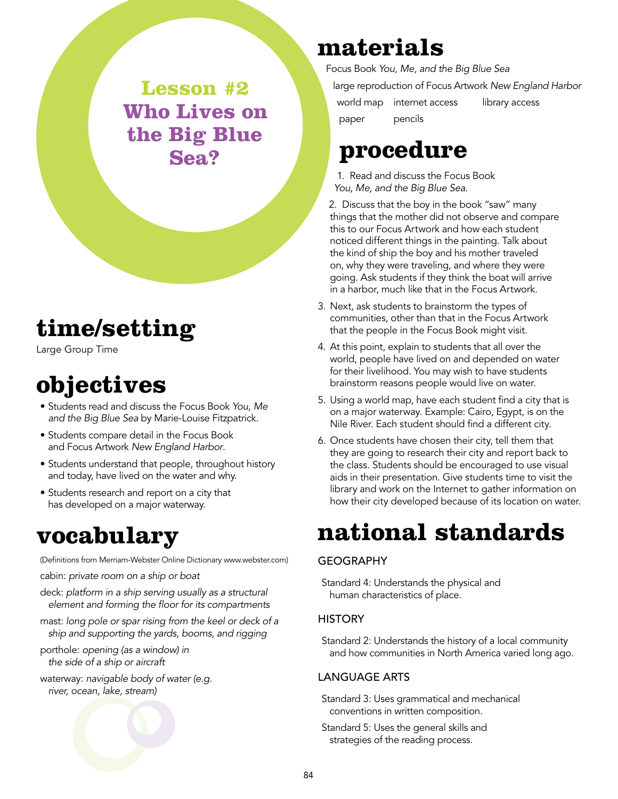**Lesson #2 Who Lives on the Big Blue Sea?**

### **time/setting**

Large Group Time

### **objectives**

- Students read and discuss the Focus Book *You, Me and the Big Blue Sea* by Marie-Louise Fitzpatrick.
- Students compare detail in the Focus Book and Focus Artwork *New England Harbor*.
- Students understand that people, throughout history and today, have lived on the water and why.
- Students research and report on a city that has developed on a major waterway.

### **vocabulary**

(Definitions from Merriam-Webster Online Dictionary www.webster.com)

cabin: *private room on a ship or boat*

- deck: *platform in a ship serving usually as a structural element and forming the floor for its compartments*
- mast: *long pole or spar rising from the keel or deck of a ship and supporting the yards, booms, and rigging*
- porthole: *opening (as a window) in the side of a ship or aircraft*
- waterway: *navigable body of water (e.g. river, ocean, lake, stream)*

### **materials**

Focus Book *You, Me, and the Big Blue Sea* large reproduction of Focus Artwork *New England Harbor* world map internet access library access paper pencils

### **procedure**

1. Read and discuss the Focus Book *You, Me, and the Big Blue Sea.* 

2. Discuss that the boy in the book "saw" many things that the mother did not observe and compare this to our Focus Artwork and how each student noticed different things in the painting. Talk about the kind of ship the boy and his mother traveled on, why they were traveling, and where they were going. Ask students if they think the boat will arrive in a harbor, much like that in the Focus Artwork.

- 3. Next, ask students to brainstorm the types of communities, other than that in the Focus Artwork that the people in the Focus Book might visit.
- 4. At this point, explain to students that all over the world, people have lived on and depended on water for their livelihood. You may wish to have students brainstorm reasons people would live on water.
- 5. Using a world map, have each student find a city that is on a major waterway. Example: Cairo, Egypt, is on the Nile River. Each student should find a different city.
- 6. Once students have chosen their city, tell them that they are going to research their city and report back to the class. Students should be encouraged to use visual aids in their presentation. Give students time to visit the library and work on the Internet to gather information on how their city developed because of its location on water.

### **national standards**

#### **GEOGRAPHY**

Standard 4: Understands the physical and human characteristics of place.

#### **HISTORY**

Standard 2: Understands the history of a local community and how communities in North America varied long ago.

#### Language Arts

Standard 3: Uses grammatical and mechanical conventions in written composition.

Standard 5: Uses the general skills and strategies of the reading process.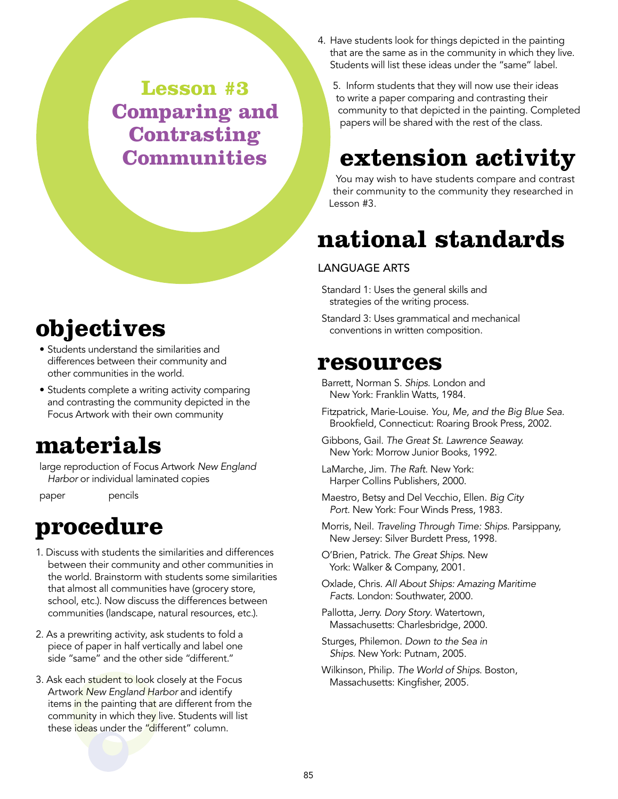**Lesson #3 Comparing and Contrasting Communities**

### **objectives**

- Students understand the similarities and differences between their community and other communities in the world.
- Students complete a writing activity comparing and contrasting the community depicted in the Focus Artwork with their own community

### **materials**

large reproduction of Focus Artwork *New England Harbor* or individual laminated copies

paper pencils

### **procedure**

- 1. Discuss with students the similarities and differences between their community and other communities in the world. Brainstorm with students some similarities that almost all communities have (grocery store, school, etc.). Now discuss the differences between communities (landscape, natural resources, etc.).
- 2. As a prewriting activity, ask students to fold a piece of paper in half vertically and label one side "same" and the other side "different."
- 3. Ask each student to look closely at the Focus Artwork *New England Harbor* and identify items in the painting that are different from the community in which they live. Students will list these ideas under the "different" column.

4. Have students look for things depicted in the painting that are the same as in the community in which they live. Students will list these ideas under the "same" label.

5. Inform students that they will now use their ideas to write a paper comparing and contrasting their community to that depicted in the painting. Completed papers will be shared with the rest of the class.

### **extension activity**

You may wish to have students compare and contrast their community to the community they researched in Lesson #3.

### **national standards**

#### Language Arts

Standard 1: Uses the general skills and strategies of the writing process.

Standard 3: Uses grammatical and mechanical conventions in written composition.

#### **resources**

Barrett, Norman S. *Ships*. London and New York: Franklin Watts, 1984.

- Fitzpatrick, Marie-Louise. *You, Me, and the Big Blue Sea*. Brookfield, Connecticut: Roaring Brook Press, 2002.
- Gibbons, Gail. *The Great St. Lawrence Seaway.* New York: Morrow Junior Books, 1992.
- LaMarche, Jim. *The Raft*. New York: Harper Collins Publishers, 2000.
- Maestro, Betsy and Del Vecchio, Ellen. *Big City Port.* New York: Four Winds Press, 1983.
- Morris, Neil. *Traveling Through Time: Ships.* Parsippany, New Jersey: Silver Burdett Press, 1998.

O'Brien, Patrick. *The Great Ships*. New York: Walker & Company, 2001.

- Oxlade, Chris. *All About Ships: Amazing Maritime Facts.* London: Southwater, 2000.
- Pallotta, Jerry. *Dory Story*. Watertown, Massachusetts: Charlesbridge, 2000.
- Sturges, Philemon. *Down to the Sea in Ships*. New York: Putnam, 2005.
- Wilkinson, Philip. *The World of Ships*. Boston, Massachusetts: Kingfisher, 2005.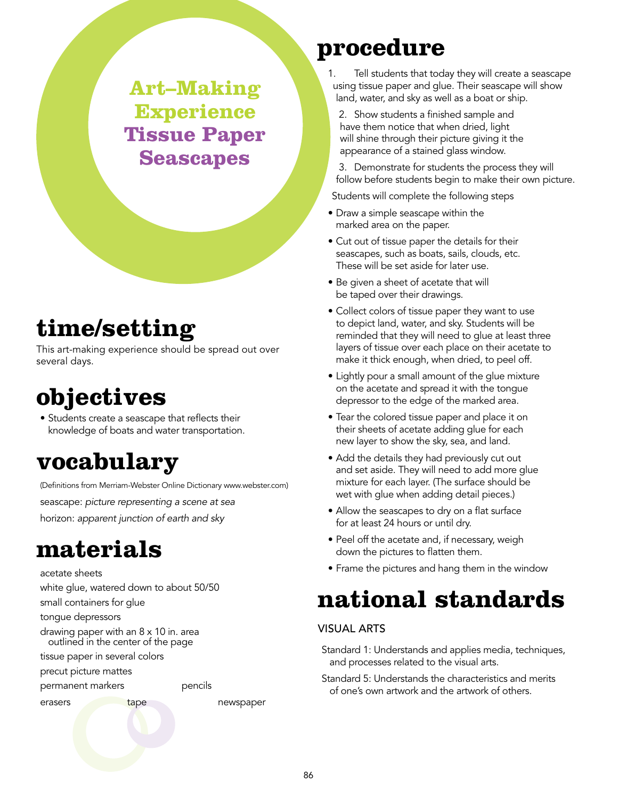**Art–Making Experience Tissue Paper Seascapes**

### **time/setting**

This art-making experience should be spread out over several days.

### **objectives**

• Students create a seascape that reflects their knowledge of boats and water transportation.

### **vocabulary**

(Definitions from Merriam-Webster Online Dictionary www.webster.com) seascape: *picture representing a scene at sea*  horizon: *apparent junction of earth and sky*

### **materials**

acetate sheets white glue, watered down to about 50/50 small containers for glue tongue depressors drawing paper with an 8 x 10 in. area outlined in the center of the page tissue paper in several colors precut picture mattes

permanent markers pencils

erasers tape newspaper

### **procedure**

1. Tell students that today they will create a seascape using tissue paper and glue. Their seascape will show land, water, and sky as well as a boat or ship.

2. Show students a finished sample and have them notice that when dried, light will shine through their picture giving it the appearance of a stained glass window.

3. Demonstrate for students the process they will follow before students begin to make their own picture.

Students will complete the following steps

- Draw a simple seascape within the marked area on the paper.
- Cut out of tissue paper the details for their seascapes, such as boats, sails, clouds, etc. These will be set aside for later use.
- Be given a sheet of acetate that will be taped over their drawings.
- Collect colors of tissue paper they want to use to depict land, water, and sky. Students will be reminded that they will need to glue at least three layers of tissue over each place on their acetate to make it thick enough, when dried, to peel off.
- Lightly pour a small amount of the glue mixture on the acetate and spread it with the tongue depressor to the edge of the marked area.
- Tear the colored tissue paper and place it on their sheets of acetate adding glue for each new layer to show the sky, sea, and land.
- Add the details they had previously cut out and set aside. They will need to add more glue mixture for each layer. (The surface should be wet with glue when adding detail pieces.)
- Allow the seascapes to dry on a flat surface for at least 24 hours or until dry.
- Peel off the acetate and, if necessary, weigh down the pictures to flatten them.
- Frame the pictures and hang them in the window

### **national standards**

#### Visual Arts

- Standard 1: Understands and applies media, techniques, and processes related to the visual arts.
- Standard 5: Understands the characteristics and merits of one's own artwork and the artwork of others.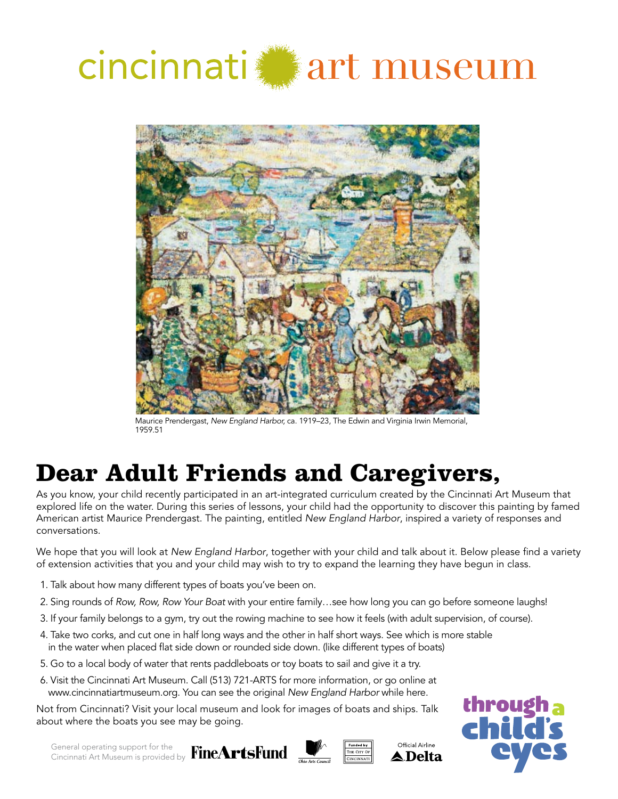# cincinnati art museum



Maurice Prendergast, *New England Harbor,* ca. 1919–23, The Edwin and Virginia Irwin Memorial, 1959.51

### **Dear Adult Friends and Caregivers,**

As you know, your child recently participated in an art-integrated curriculum created by the Cincinnati Art Museum that explored life on the water. During this series of lessons, your child had the opportunity to discover this painting by famed American artist Maurice Prendergast. The painting, entitled *New England Harbor*, inspired a variety of responses and conversations.

We hope that you will look at *New England Harbor*, together with your child and talk about it. Below please find a variety of extension activities that you and your child may wish to try to expand the learning they have begun in class.

- 1. Talk about how many different types of boats you've been on.
- 2. Sing rounds of *Row, Row, Row Your Boat* with your entire family…see how long you can go before someone laughs!
- 3. If your family belongs to a gym, try out the rowing machine to see how it feels (with adult supervision, of course).
- 4. Take two corks, and cut one in half long ways and the other in half short ways. See which is more stable in the water when placed flat side down or rounded side down. (like different types of boats)
- 5. Go to a local body of water that rents paddleboats or toy boats to sail and give it a try.
- 6. Visit the Cincinnati Art Museum. Call (513) 721-ARTS for more information, or go online at www.cincinnatiartmuseum.org. You can see the original *New England Harbor* while here.

Not from Cincinnati? Visit your local museum and look for images of boats and ships. Talk about where the boats you see may be going.

General operating support for the Cincinnati Art Museum is provided by